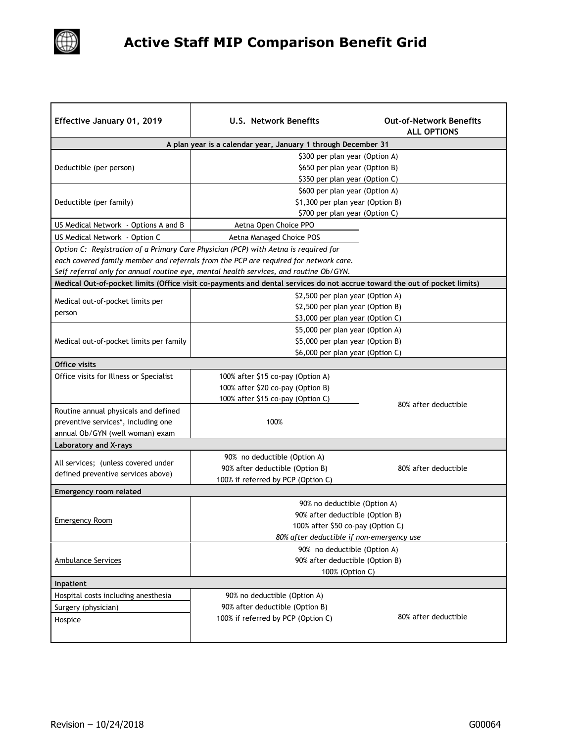

## **Active Staff MIP Comparison Benefit Grid**

| Effective January 01, 2019              | <b>U.S. Network Benefits</b>                                                                                                           | <b>Out-of-Network Benefits</b><br><b>ALL OPTIONS</b> |  |  |
|-----------------------------------------|----------------------------------------------------------------------------------------------------------------------------------------|------------------------------------------------------|--|--|
|                                         | A plan year is a calendar year, January 1 through December 31                                                                          |                                                      |  |  |
| Deductible (per person)                 | \$300 per plan year (Option A)<br>\$650 per plan year (Option B)                                                                       |                                                      |  |  |
| Deductible (per family)                 | \$350 per plan year (Option C)<br>\$600 per plan year (Option A)<br>\$1,300 per plan year (Option B)<br>\$700 per plan year (Option C) |                                                      |  |  |
| US Medical Network - Options A and B    | Aetna Open Choice PPO                                                                                                                  |                                                      |  |  |
| US Medical Network - Option C           | Aetna Managed Choice POS                                                                                                               |                                                      |  |  |
|                                         | Option C: Registration of a Primary Care Physician (PCP) with Aetna is required for                                                    |                                                      |  |  |
|                                         | each covered family member and referrals from the PCP are required for network care.                                                   |                                                      |  |  |
|                                         | Self referral only for annual routine eye, mental health services, and routine Ob/GYN.                                                 |                                                      |  |  |
|                                         | Medical Out-of-pocket limits (Office visit co-payments and dental services do not accrue toward the out of pocket limits)              |                                                      |  |  |
|                                         | \$2,500 per plan year (Option A)                                                                                                       |                                                      |  |  |
| Medical out-of-pocket limits per        | \$2,500 per plan year (Option B)                                                                                                       |                                                      |  |  |
| person                                  | \$3,000 per plan year (Option C)                                                                                                       |                                                      |  |  |
|                                         | \$5,000 per plan year (Option A)                                                                                                       |                                                      |  |  |
| Medical out-of-pocket limits per family | \$5,000 per plan year (Option B)                                                                                                       |                                                      |  |  |
|                                         | \$6,000 per plan year (Option C)                                                                                                       |                                                      |  |  |
| Office visits                           |                                                                                                                                        |                                                      |  |  |
| Office visits for Illness or Specialist | 100% after \$15 co-pay (Option A)                                                                                                      |                                                      |  |  |
|                                         | 100% after \$20 co-pay (Option B)                                                                                                      |                                                      |  |  |
|                                         | 100% after \$15 co-pay (Option C)                                                                                                      |                                                      |  |  |
| Routine annual physicals and defined    |                                                                                                                                        | 80% after deductible                                 |  |  |
| preventive services*, including one     | 100%                                                                                                                                   |                                                      |  |  |
| annual Ob/GYN (well woman) exam         |                                                                                                                                        |                                                      |  |  |
| <b>Laboratory and X-rays</b>            |                                                                                                                                        |                                                      |  |  |
|                                         | 90% no deductible (Option A)                                                                                                           |                                                      |  |  |
| All services; (unless covered under     | 90% after deductible (Option B)                                                                                                        | 80% after deductible                                 |  |  |
| defined preventive services above)      | 100% if referred by PCP (Option C)                                                                                                     |                                                      |  |  |
| <b>Emergency room related</b>           |                                                                                                                                        |                                                      |  |  |
|                                         | 90% no deductible (Option A)                                                                                                           |                                                      |  |  |
|                                         | 90% after deductible (Option B)                                                                                                        |                                                      |  |  |
| <b>Emergency Room</b>                   | 100% after \$50 co-pay (Option C)                                                                                                      |                                                      |  |  |
|                                         | 80% after deductible if non-emergency use                                                                                              |                                                      |  |  |
|                                         | 90% no deductible (Option A)                                                                                                           |                                                      |  |  |
| Ambulance Services                      | 90% after deductible (Option B)                                                                                                        |                                                      |  |  |
|                                         | 100% (Option C)                                                                                                                        |                                                      |  |  |
| Inpatient                               |                                                                                                                                        |                                                      |  |  |
| Hospital costs including anesthesia     | 90% no deductible (Option A)                                                                                                           |                                                      |  |  |
| Surgery (physician)                     | 90% after deductible (Option B)                                                                                                        |                                                      |  |  |
| Hospice                                 | 100% if referred by PCP (Option C)                                                                                                     | 80% after deductible                                 |  |  |
|                                         |                                                                                                                                        |                                                      |  |  |
|                                         |                                                                                                                                        |                                                      |  |  |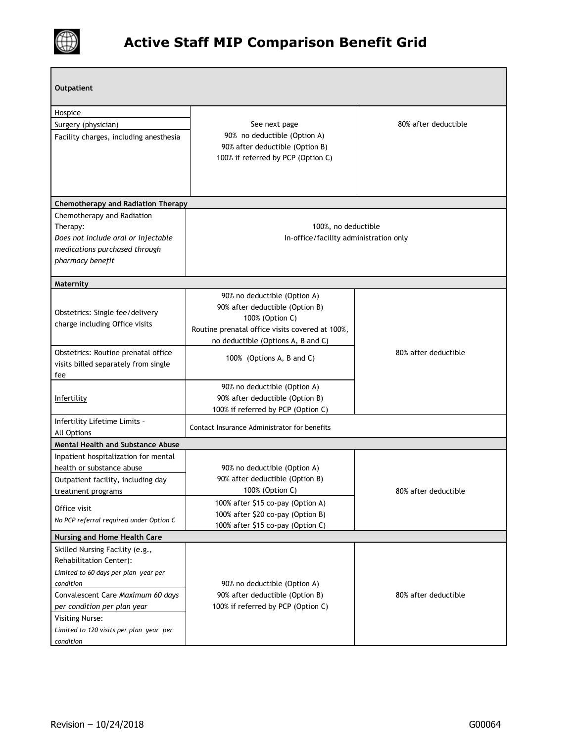

| Outpatient                                                                                                                         |                                                                                                                                                                             |                      |  |  |
|------------------------------------------------------------------------------------------------------------------------------------|-----------------------------------------------------------------------------------------------------------------------------------------------------------------------------|----------------------|--|--|
| Hospice                                                                                                                            |                                                                                                                                                                             |                      |  |  |
| Surgery (physician)                                                                                                                | See next page                                                                                                                                                               | 80% after deductible |  |  |
| Facility charges, including anesthesia                                                                                             | 90% no deductible (Option A)<br>90% after deductible (Option B)<br>100% if referred by PCP (Option C)                                                                       |                      |  |  |
| <b>Chemotherapy and Radiation Therapy</b>                                                                                          |                                                                                                                                                                             |                      |  |  |
| Chemotherapy and Radiation<br>Therapy:<br>Does not include oral or injectable<br>medications purchased through<br>pharmacy benefit | 100%, no deductible<br>In-office/facility administration only                                                                                                               |                      |  |  |
| Maternity                                                                                                                          |                                                                                                                                                                             |                      |  |  |
| Obstetrics: Single fee/delivery<br>charge including Office visits                                                                  | 90% no deductible (Option A)<br>90% after deductible (Option B)<br>100% (Option C)<br>Routine prenatal office visits covered at 100%,<br>no deductible (Options A, B and C) |                      |  |  |
| Obstetrics: Routine prenatal office<br>visits billed separately from single<br>fee                                                 | 100% (Options A, B and C)                                                                                                                                                   | 80% after deductible |  |  |
| Infertility                                                                                                                        | 90% no deductible (Option A)<br>90% after deductible (Option B)<br>100% if referred by PCP (Option C)                                                                       |                      |  |  |
| Infertility Lifetime Limits -<br>All Options                                                                                       | Contact Insurance Administrator for benefits                                                                                                                                |                      |  |  |
| <b>Mental Health and Substance Abuse</b>                                                                                           |                                                                                                                                                                             |                      |  |  |
| Inpatient hospitalization for mental                                                                                               |                                                                                                                                                                             |                      |  |  |
| health or substance abuse                                                                                                          | 90% no deductible (Option A)                                                                                                                                                |                      |  |  |
| Outpatient facility, including day                                                                                                 | 90% after deductible (Option B)                                                                                                                                             |                      |  |  |
| treatment programs                                                                                                                 | 100% (Option C)                                                                                                                                                             | 80% after deductible |  |  |
| Office visit                                                                                                                       | 100% after \$15 co-pay (Option A)                                                                                                                                           |                      |  |  |
| No PCP referral required under Option C                                                                                            | 100% after \$20 co-pay (Option B)<br>100% after \$15 co-pay (Option C)                                                                                                      |                      |  |  |
| Nursing and Home Health Care                                                                                                       |                                                                                                                                                                             |                      |  |  |
| Skilled Nursing Facility (e.g.,                                                                                                    |                                                                                                                                                                             |                      |  |  |
| Rehabilitation Center):                                                                                                            |                                                                                                                                                                             |                      |  |  |
| Limited to 60 days per plan year per                                                                                               |                                                                                                                                                                             |                      |  |  |
| condition                                                                                                                          | 90% no deductible (Option A)                                                                                                                                                |                      |  |  |
| Convalescent Care Maximum 60 days                                                                                                  | 90% after deductible (Option B)                                                                                                                                             | 80% after deductible |  |  |
| per condition per plan year                                                                                                        | 100% if referred by PCP (Option C)                                                                                                                                          |                      |  |  |
| <b>Visiting Nurse:</b><br>Limited to 120 visits per plan year per<br>condition                                                     |                                                                                                                                                                             |                      |  |  |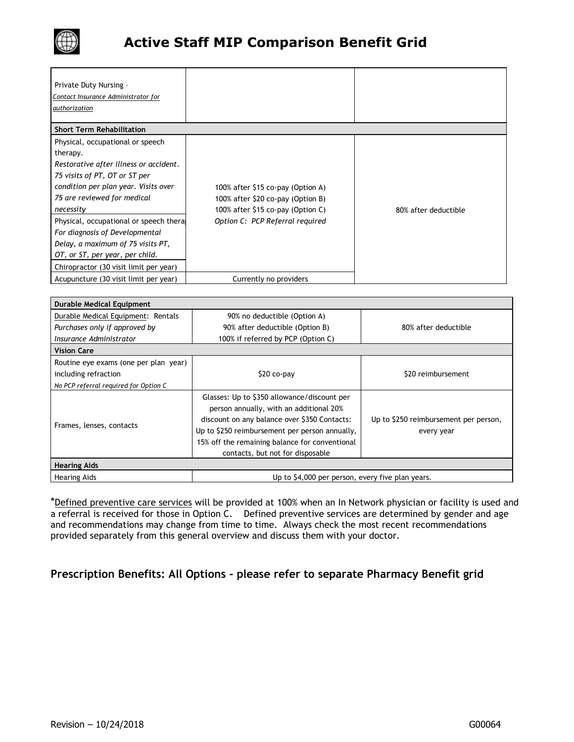

| Private Duty Nursing -<br>Contact Insurance Administrator for<br>authorization                                                                                                                                                                                                                                                                                                                             |                                                                                                                                                |                      |
|------------------------------------------------------------------------------------------------------------------------------------------------------------------------------------------------------------------------------------------------------------------------------------------------------------------------------------------------------------------------------------------------------------|------------------------------------------------------------------------------------------------------------------------------------------------|----------------------|
| <b>Short Term Rehabilitation</b>                                                                                                                                                                                                                                                                                                                                                                           |                                                                                                                                                |                      |
| Physical, occupational or speech<br>therapy.<br>Restorative after illness or accident.<br>75 visits of PT, OT or ST per<br>condition per plan year. Visits over<br>75 are reviewed for medical<br>necessity<br>Physical, occupational or speech theral<br>For diagnosis of Developmental<br>Delay, a maximum of 75 visits PT,<br>OT, or ST, per year, per child.<br>Chiropractor (30 visit limit per year) | 100% after \$15 co-pay (Option A)<br>100% after \$20 co-pay (Option B)<br>100% after \$15 co-pay (Option C)<br>Option C: PCP Referral required | 80% after deductible |
| Acupuncture (30 visit limit per year)                                                                                                                                                                                                                                                                                                                                                                      | Currently no providers                                                                                                                         |                      |

| <b>Durable Medical Equipment</b>      |                                                                                                                                                                                                                                                                                |                                                     |  |  |
|---------------------------------------|--------------------------------------------------------------------------------------------------------------------------------------------------------------------------------------------------------------------------------------------------------------------------------|-----------------------------------------------------|--|--|
| Durable Medical Equipment: Rentals    | 90% no deductible (Option A)                                                                                                                                                                                                                                                   |                                                     |  |  |
| Purchases only if approved by         | 90% after deductible (Option B)                                                                                                                                                                                                                                                | 80% after deductible                                |  |  |
| Insurance Administrator               | 100% if referred by PCP (Option C)                                                                                                                                                                                                                                             |                                                     |  |  |
| <b>Vision Care</b>                    |                                                                                                                                                                                                                                                                                |                                                     |  |  |
| Routine eye exams (one per plan year) |                                                                                                                                                                                                                                                                                |                                                     |  |  |
| including refraction                  | \$20 co-pay                                                                                                                                                                                                                                                                    | \$20 reimbursement                                  |  |  |
| No PCP referral required for Option C |                                                                                                                                                                                                                                                                                |                                                     |  |  |
| Frames, lenses, contacts              | Glasses: Up to \$350 allowance/discount per<br>person annually, with an additional 20%<br>discount on any balance over \$350 Contacts:<br>Up to \$250 reimbursement per person annually,<br>15% off the remaining balance for conventional<br>contacts, but not for disposable | Up to \$250 reimbursement per person,<br>every year |  |  |
| <b>Hearing Aids</b>                   |                                                                                                                                                                                                                                                                                |                                                     |  |  |
| Hearing Aids                          | Up to \$4,000 per person, every five plan years.                                                                                                                                                                                                                               |                                                     |  |  |

\*Defined preventive care services will be provided at 100% when an In Network physician or facility is used and a referral is received for those in Option C. Defined preventive services are determined by gender and age and recommendations may change from time to time. Always check the most recent recommendations provided separately from this general overview and discuss them with your doctor.

## **Prescription Benefits: All Options - please refer to separate Pharmacy Benefit grid**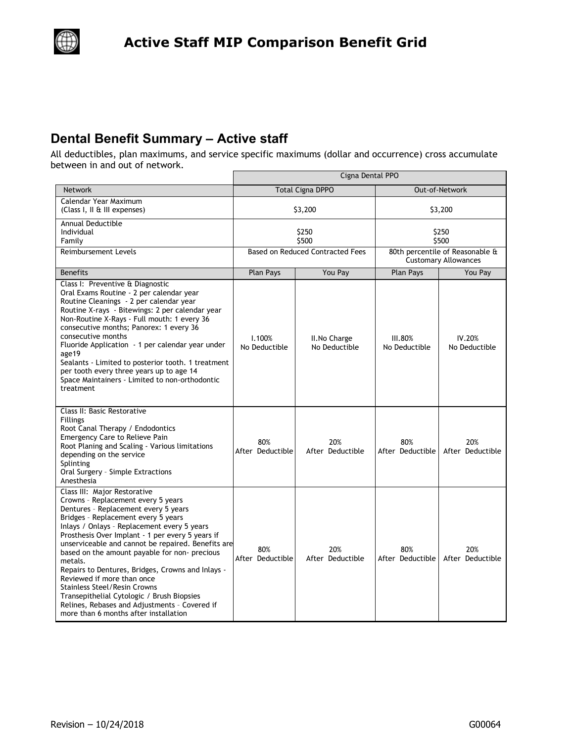

## **Dental Benefit Summary – Active staff**

 $\left(\begin{smallmatrix} 1 & 1 \ 1 & 1 \end{smallmatrix}\right)$ 

All deductibles, plan maximums, and service specific maximums (dollar and occurrence) cross accumulate between in and out of network.

|                                                                                                                                                                                                                                                                                                                                                                                                                                                                                                                                                                                                                                          | Cigna Dental PPO                        |                                |                                                                |                         |
|------------------------------------------------------------------------------------------------------------------------------------------------------------------------------------------------------------------------------------------------------------------------------------------------------------------------------------------------------------------------------------------------------------------------------------------------------------------------------------------------------------------------------------------------------------------------------------------------------------------------------------------|-----------------------------------------|--------------------------------|----------------------------------------------------------------|-------------------------|
| <b>Network</b>                                                                                                                                                                                                                                                                                                                                                                                                                                                                                                                                                                                                                           |                                         | <b>Total Cigna DPPO</b>        |                                                                | Out-of-Network          |
| Calendar Year Maximum<br>(Class I, II & III expenses)                                                                                                                                                                                                                                                                                                                                                                                                                                                                                                                                                                                    | \$3,200                                 |                                | \$3,200                                                        |                         |
| Annual Deductible<br>Individual<br>Family                                                                                                                                                                                                                                                                                                                                                                                                                                                                                                                                                                                                | \$250<br>\$500                          |                                | \$250<br>\$500                                                 |                         |
| <b>Reimbursement Levels</b>                                                                                                                                                                                                                                                                                                                                                                                                                                                                                                                                                                                                              | <b>Based on Reduced Contracted Fees</b> |                                | 80th percentile of Reasonable &<br><b>Customary Allowances</b> |                         |
| <b>Benefits</b>                                                                                                                                                                                                                                                                                                                                                                                                                                                                                                                                                                                                                          | Plan Pays                               | You Pay                        | <b>Plan Pays</b>                                               | You Pay                 |
| Class I: Preventive & Diagnostic<br>Oral Exams Routine - 2 per calendar year<br>Routine Cleanings - 2 per calendar year<br>Routine X-rays - Bitewings: 2 per calendar year<br>Non-Routine X-Rays - Full mouth: 1 every 36<br>consecutive months; Panorex: 1 every 36<br>consecutive months<br>Fluoride Application - 1 per calendar year under<br>age19<br>Sealants - Limited to posterior tooth. 1 treatment<br>per tooth every three years up to age 14<br>Space Maintainers - Limited to non-orthodontic<br>treatment                                                                                                                 | 1.100%<br>No Deductible                 | II. No Charge<br>No Deductible | <b>III.80%</b><br>No Deductible                                | IV.20%<br>No Deductible |
| Class II: Basic Restorative<br>Fillings<br>Root Canal Therapy / Endodontics<br><b>Emergency Care to Relieve Pain</b><br>Root Planing and Scaling - Various limitations<br>depending on the service<br>Splinting<br>Oral Surgery - Simple Extractions<br>Anesthesia                                                                                                                                                                                                                                                                                                                                                                       | 80%<br>After Deductible                 | 20%<br>After Deductible        | 80%<br>After Deductible                                        | 20%<br>After Deductible |
| Class III: Major Restorative<br>Crowns - Replacement every 5 years<br>Dentures - Replacement every 5 years<br>Bridges - Replacement every 5 years<br>Inlays / Onlays - Replacement every 5 years<br>Prosthesis Over Implant - 1 per every 5 years if<br>unserviceable and cannot be repaired. Benefits are<br>based on the amount payable for non- precious<br>metals.<br>Repairs to Dentures, Bridges, Crowns and Inlays -<br>Reviewed if more than once<br><b>Stainless Steel/Resin Crowns</b><br>Transepithelial Cytologic / Brush Biopsies<br>Relines, Rebases and Adjustments - Covered if<br>more than 6 months after installation | 80%<br>After Deductible                 | 20%<br>After Deductible        | 80%<br>After Deductible                                        | 20%<br>After Deductible |